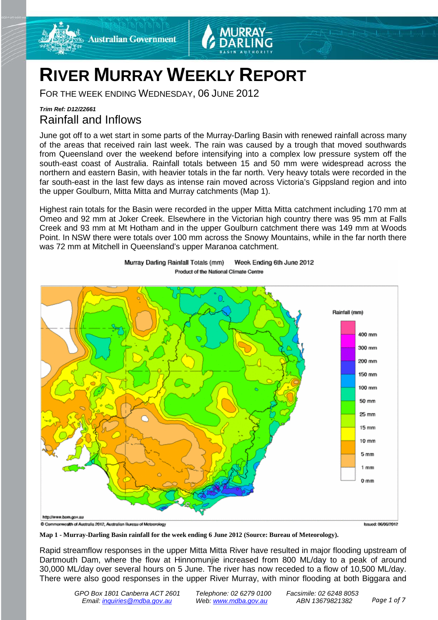



# **RIVER MURRAY WEEKLY REPORT**

FOR THE WEEK ENDING WEDNESDAY, 06 JUNE 2012

# *Trim Ref: D12/22661* Rainfall and Inflows

June got off to a wet start in some parts of the Murray-Darling Basin with renewed rainfall across many of the areas that received rain last week. The rain was caused by a trough that moved southwards from Queensland over the weekend before intensifying into a complex low pressure system off the south-east coast of Australia. Rainfall totals between 15 and 50 mm were widespread across the northern and eastern Basin, with heavier totals in the far north. Very heavy totals were recorded in the far south-east in the last few days as intense rain moved across Victoria's Gippsland region and into the upper Goulburn, Mitta Mitta and Murray catchments (Map 1).

Highest rain totals for the Basin were recorded in the upper Mitta Mitta catchment including 170 mm at Omeo and 92 mm at Joker Creek. Elsewhere in the Victorian high country there was 95 mm at Falls Creek and 93 mm at Mt Hotham and in the upper Goulburn catchment there was 149 mm at Woods Point. In NSW there were totals over 100 mm across the Snowy Mountains, while in the far north there was 72 mm at Mitchell in Queensland's upper Maranoa catchment.





Rapid streamflow responses in the upper Mitta Mitta River have resulted in major flooding upstream of Dartmouth Dam, where the flow at Hinnomunjie increased from 800 ML/day to a peak of around 30,000 ML/day over several hours on 5 June. The river has now receded to a flow of 10,500 ML/day. There were also good responses in the upper River Murray, with minor flooding at both Biggara and

**Map 1 - Murray-Darling Basin rainfall for the week ending 6 June 2012 (Source: Bureau of Meteorology).**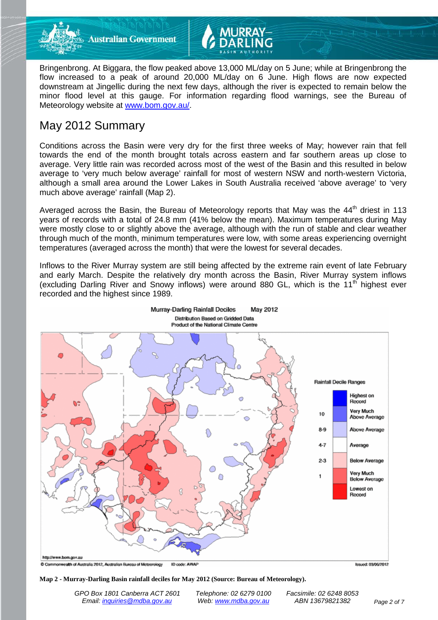

**Australian Government** 

Bringenbrong. At Biggara, the flow peaked above 13,000 ML/day on 5 June; while at Bringenbrong the flow increased to a peak of around 20,000 ML/day on 6 June. High flows are now expected downstream at Jingellic during the next few days, although the river is expected to remain below the minor flood level at this gauge. For information regarding flood warnings, see the Bureau of Meteorology website at [www.bom.gov.au/.](http://www.bom.gov.au/)

# May 2012 Summary

Conditions across the Basin were very dry for the first three weeks of May; however rain that fell towards the end of the month brought totals across eastern and far southern areas up close to average. Very little rain was recorded across most of the west of the Basin and this resulted in below average to 'very much below average' rainfall for most of western NSW and north-western Victoria, although a small area around the Lower Lakes in South Australia received 'above average' to 'very much above average' rainfall (Map 2).

Averaged across the Basin, the Bureau of Meteorology reports that May was the  $44<sup>th</sup>$  driest in 113 years of records with a total of 24.8 mm (41% below the mean). Maximum temperatures during May were mostly close to or slightly above the average, although with the run of stable and clear weather through much of the month, minimum temperatures were low, with some areas experiencing overnight temperatures (averaged across the month) that were the lowest for several decades.

Inflows to the River Murray system are still being affected by the extreme rain event of late February and early March. Despite the relatively dry month across the Basin, River Murray system inflows (excluding Darling River and Snowy inflows) were around 880 GL, which is the  $11<sup>th</sup>$  highest ever recorded and the highest since 1989.



C Commonwealth of Australia 2012, Australian Bureau of Meteorology ID code: AWAP **Issued: 03/06/2012** 

### **Map 2 - Murray-Darling Basin rainfall deciles for May 2012 (Source: Bureau of Meteorology).**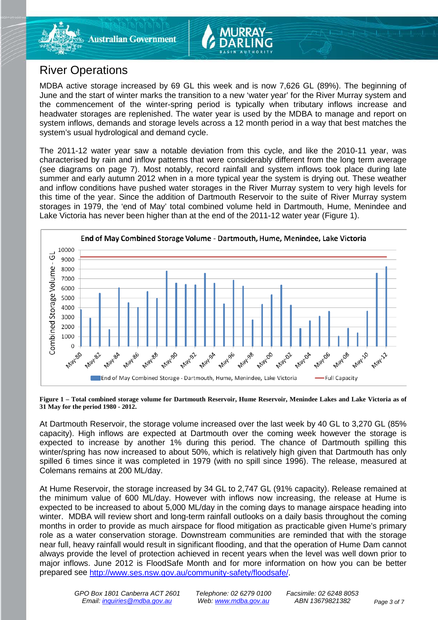# River Operations

MDBA active storage increased by 69 GL this week and is now 7,626 GL (89%). The beginning of June and the start of winter marks the transition to a new 'water year' for the River Murray system and the commencement of the winter-spring period is typically when tributary inflows increase and headwater storages are replenished. The water year is used by the MDBA to manage and report on system inflows, demands and storage levels across a 12 month period in a way that best matches the system's usual hydrological and demand cycle.

The 2011-12 water year saw a notable deviation from this cycle, and like the 2010-11 year, was characterised by rain and inflow patterns that were considerably different from the long term average (see diagrams on page 7). Most notably, record rainfall and system inflows took place during late summer and early autumn 2012 when in a more typical year the system is drying out. These weather and inflow conditions have pushed water storages in the River Murray system to very high levels for this time of the year. Since the addition of Dartmouth Reservoir to the suite of River Murray system storages in 1979, the 'end of May' total combined volume held in Dartmouth, Hume, Menindee and Lake Victoria has never been higher than at the end of the 2011-12 water year (Figure 1).



**Figure 1 – Total combined storage volume for Dartmouth Reservoir, Hume Reservoir, Menindee Lakes and Lake Victoria as of 31 May for the period 1980 - 2012.**

At Dartmouth Reservoir, the storage volume increased over the last week by 40 GL to 3,270 GL (85% capacity). High inflows are expected at Dartmouth over the coming week however the storage is expected to increase by another 1% during this period. The chance of Dartmouth spilling this winter/spring has now increased to about 50%, which is relatively high given that Dartmouth has only spilled 6 times since it was completed in 1979 (with no spill since 1996). The release, measured at Colemans remains at 200 ML/day.

At Hume Reservoir, the storage increased by 34 GL to 2,747 GL (91% capacity). Release remained at the minimum value of 600 ML/day. However with inflows now increasing, the release at Hume is expected to be increased to about 5,000 ML/day in the coming days to manage airspace heading into winter. MDBA will review short and long-term rainfall outlooks on a daily basis throughout the coming months in order to provide as much airspace for flood mitigation as practicable given Hume's primary role as a water conservation storage. Downstream communities are reminded that with the storage near full, heavy rainfall would result in significant flooding, and that the operation of Hume Dam cannot always provide the level of protection achieved in recent years when the level was well down prior to major inflows. June 2012 is FloodSafe Month and for more information on how you can be better prepared see [http://www.ses.nsw.gov.au/community-safety/floodsafe/.](http://www.ses.nsw.gov.au/community-safety/floodsafe/)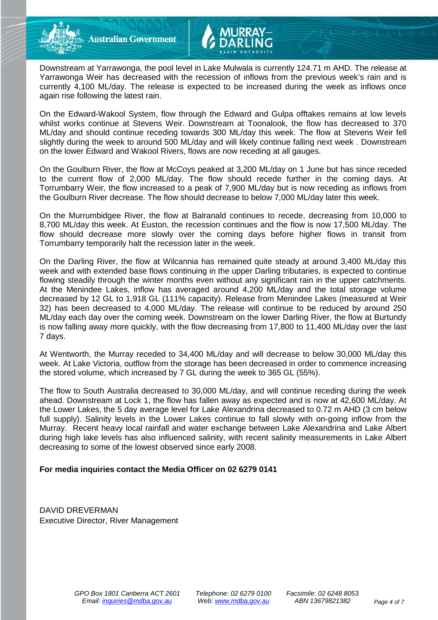**Australian Government** 

Downstream at Yarrawonga, the pool level in Lake Mulwala is currently 124.71 m AHD. The release at Yarrawonga Weir has decreased with the recession of inflows from the previous week's rain and is currently 4,100 ML/day. The release is expected to be increased during the week as inflows once again rise following the latest rain.

On the Edward-Wakool System, flow through the Edward and Gulpa offtakes remains at low levels whilst works continue at Stevens Weir. Downstream at Toonalook, the flow has decreased to 370 ML/day and should continue receding towards 300 ML/day this week. The flow at Stevens Weir fell slightly during the week to around 500 ML/day and will likely continue falling next week . Downstream on the lower Edward and Wakool Rivers, flows are now receding at all gauges.

On the Goulburn River, the flow at McCoys peaked at 3,200 ML/day on 1 June but has since receded to the current flow of 2,000 ML/day. The flow should recede further in the coming days. At Torrumbarry Weir, the flow increased to a peak of 7,900 ML/day but is now receding as inflows from the Goulburn River decrease. The flow should decrease to below 7,000 ML/day later this week.

On the Murrumbidgee River, the flow at Balranald continues to recede, decreasing from 10,000 to 8,700 ML/day this week. At Euston, the recession continues and the flow is now 17,500 ML/day. The flow should decrease more slowly over the coming days before higher flows in transit from Torrumbarry temporarily halt the recession later in the week.

On the Darling River, the flow at Wilcannia has remained quite steady at around 3,400 ML/day this week and with extended base flows continuing in the upper Darling tributaries, is expected to continue flowing steadily through the winter months even without any significant rain in the upper catchments. At the Menindee Lakes, inflow has averaged around 4,200 ML/day and the total storage volume decreased by 12 GL to 1,918 GL (111% capacity). Release from Menindee Lakes (measured at Weir 32) has been decreased to 4,000 ML/day. The release will continue to be reduced by around 250 ML/day each day over the coming week. Downstream on the lower Darling River, the flow at Burtundy is now falling away more quickly, with the flow decreasing from 17,800 to 11,400 ML/day over the last 7 days.

At Wentworth, the Murray receded to 34,400 ML/day and will decrease to below 30,000 ML/day this week. At Lake Victoria, outflow from the storage has been decreased in order to commence increasing the stored volume, which increased by 7 GL during the week to 365 GL (55%).

The flow to South Australia decreased to 30,000 ML/day, and will continue receding during the week ahead. Downstream at Lock 1, the flow has fallen away as expected and is now at 42,600 ML/day. At the Lower Lakes, the 5 day average level for Lake Alexandrina decreased to 0.72 m AHD (3 cm below full supply). Salinity levels in the Lower Lakes continue to fall slowly with on-going inflow from the Murray. Recent heavy local rainfall and water exchange between Lake Alexandrina and Lake Albert during high lake levels has also influenced salinity, with recent salinity measurements in Lake Albert decreasing to some of the lowest observed since early 2008.

# **For media inquiries contact the Media Officer on 02 6279 0141**

DAVID DREVERMAN Executive Director, River Management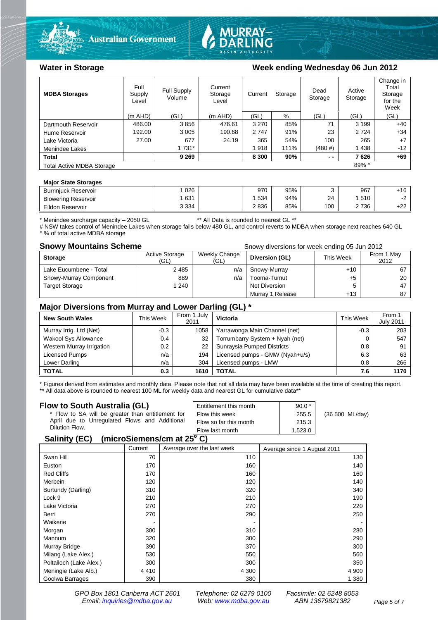



# Water in Storage Week ending Wednesday 06 Jun 2012

| <b>MDBA Storages</b>             | Full<br>Supply<br>Level | <b>Full Supply</b><br>Volume | Current<br>Storage<br>Level | Storage<br>Current |      | Dead<br>Storage | Active<br>Storage | Change in<br>Total<br>Storage<br>for the<br>Week |
|----------------------------------|-------------------------|------------------------------|-----------------------------|--------------------|------|-----------------|-------------------|--------------------------------------------------|
|                                  | $(m$ AHD)               | (GL)                         | $(m$ AHD)                   | (GL)               | %    | (GL)            | (GL)              | (GL)                                             |
| Dartmouth Reservoir              | 486.00                  | 3856                         | 476.61                      | 3 2 7 0            | 85%  | 71              | 3 1 9 9           | $+40$                                            |
| Hume Reservoir                   | 192.00                  | 3 0 0 5                      | 190.68                      | 2747               | 91%  | 23              | 2 7 2 4           | $+34$                                            |
| Lake Victoria                    | 27.00                   | 677                          | 24.19                       | 365                | 54%  | 100             | 265               | $+7$                                             |
| Menindee Lakes                   |                         | 1 7 3 1 *                    |                             | 1918               | 111% | (480#)          | 1438              | $-12$                                            |
| <b>Total</b>                     |                         | 9 2 6 9                      |                             | 8 3 0 0            | 90%  | $ -$            | 7626              | $+69$                                            |
| <b>Total Active MDBA Storage</b> |                         |                              |                             |                    |      |                 | 89% ^             |                                                  |

## **Major State Storages**

| <b>Burriniuck Reservoir</b> | 026     | 970  | 95% |     | 967  | $+16$      |
|-----------------------------|---------|------|-----|-----|------|------------|
| <b>Blowering Reservoir</b>  | 631     | 534  | 94% | 24  | 510  | <u>_</u>   |
| Eildon Reservoir            | 3 3 3 4 | 2836 | 85% | 100 | 2736 | .22<br>+2z |

\* Menindee surcharge capacity – 2050 GL \*\* All Data is rounded to nearest GL \*\*

# NSW takes control of Menindee Lakes when storage falls below 480 GL, and control reverts to MDBA when storage next reaches 640 GL ^ % of total active MDBA storage

**Snowy Mountains Scheme Snowy diversions for week ending 05 Jun 2012** 

| <b>Storage</b>         | <b>Active Storage</b><br>(GL) | Weekly Change<br>(GL) | Diversion (GL)   | This Week | From 1 May<br>2012 |
|------------------------|-------------------------------|-----------------------|------------------|-----------|--------------------|
| Lake Eucumbene - Total | 2485                          | n/a                   | Snowy-Murray     | $+10$     | 67                 |
| Snowy-Murray Component | 889                           | n/a                   | Tooma-Tumut      | +5        | 20                 |
| <b>Target Storage</b>  | 1 240                         |                       | Net Diversion    |           | 47                 |
|                        |                               |                       | Murray 1 Release | $+13$     | 87                 |

# **Major Diversions from Murray and Lower Darling (GL) \***

| <b>New South Wales</b>    | This Week | From 1 July<br>2011 | Victoria                        | This Week | From 1<br><b>July 2011</b> |
|---------------------------|-----------|---------------------|---------------------------------|-----------|----------------------------|
| Murray Irrig. Ltd (Net)   | $-0.3$    | 1058                | Yarrawonga Main Channel (net)   | $-0.3$    | 203                        |
| Wakool Sys Allowance      | 0.4       | 32                  | Torrumbarry System + Nyah (net) |           | 547                        |
| Western Murray Irrigation | 0.2       | 22                  | Sunraysia Pumped Districts      | 0.8       | 91                         |
| Licensed Pumps            | n/a       | 194                 | Licensed pumps - GMW (Nyah+u/s) | 6.3       | 63                         |
| Lower Darling             | n/a       | 304                 | Licensed pumps - LMW            | 0.8       | 266                        |
| <b>TOTAL</b>              | 0.3       | 1610                | TOTAL                           | 7.6       | 1170                       |

\* Figures derived from estimates and monthly data. Please note that not all data may have been available at the time of creating this report. \*\* All data above is rounded to nearest 100 ML for weekly data and nearest GL for cumulative data\*\*

### **Flow to South Australia (GL)**

| Flow to South Australia (GL)<br>* Flow to SA will be greater than entitlement for<br>April due to Unregulated Flows and Additional<br>Dilution Flow. | Entitlement this month<br>Flow this week<br>Flow so far this month | $90.0*$<br>255.5<br>215.3 | (36 500 ML/day) |  |  |
|------------------------------------------------------------------------------------------------------------------------------------------------------|--------------------------------------------------------------------|---------------------------|-----------------|--|--|
|                                                                                                                                                      | Flow last month                                                    | 1.523.0                   |                 |  |  |
| $(m \cdot n \cdot \mathbb{C})$<br>$C = 11.11$                                                                                                        |                                                                    |                           |                 |  |  |

### **Salinity (EC) (microSiemens/cm at 25o C)**

|                         | Current | Average over the last week | Average since 1 August 2011 |
|-------------------------|---------|----------------------------|-----------------------------|
| Swan Hill               | 70      | 110                        | 130                         |
| Euston                  | 170     | 160                        | 140                         |
| <b>Red Cliffs</b>       | 170     | 160                        | 160                         |
| Merbein                 | 120     | 120                        | 140                         |
| Burtundy (Darling)      | 310     | 320                        | 340                         |
| Lock 9                  | 210     | 210                        | 190                         |
| Lake Victoria           | 270     | 270                        | 220                         |
| Berri                   | 270     | 290                        | 250                         |
| Waikerie                |         |                            |                             |
| Morgan                  | 300     | 310                        | 280                         |
| Mannum                  | 320     | 300                        | 290                         |
| Murray Bridge           | 390     | 370                        | 300                         |
| Milang (Lake Alex.)     | 530     | 550                        | 560                         |
| Poltalloch (Lake Alex.) | 300     | 300                        | 350                         |
| Meningie (Lake Alb.)    | 4410    | 4 3 0 0                    | 4 9 0 0                     |
| Goolwa Barrages         | 390     | 380                        | 1 3 8 0                     |

*GPO Box 1801 Canberra ACT 2601 Telephone: 02 6279 0100 Facsimile: 02 6248 8053 Email: [inquiries@mdba.gov.au](mailto:inquiries@mdba.gov.au) Web: [www.mdba.gov.au](http://www.mdba.gov.au/) ABN 13679821382 Page 5 of 7*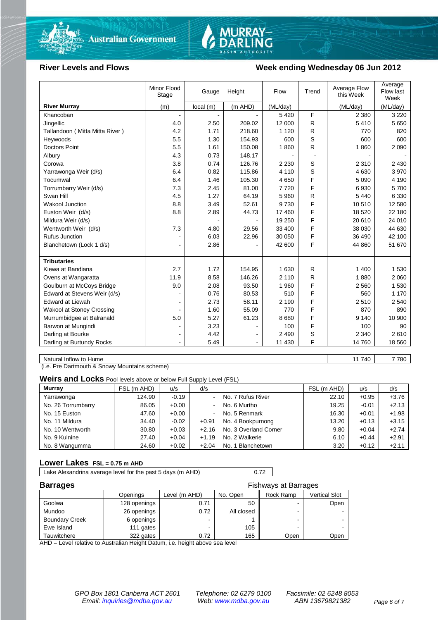



# River Levels and Flows **Week ending Wednesday 06 Jun 2012**

| Stage                            |                | Gauge    | Height         | Flow     | Trend | Average Flow<br>this Week | Average<br>Flow last<br>Week |
|----------------------------------|----------------|----------|----------------|----------|-------|---------------------------|------------------------------|
| <b>River Murray</b><br>(m)       |                | local(m) | (m AHD)        | (ML/day) |       | (ML/day)                  | (ML/day)                     |
| Khancoban                        |                |          |                | 5 4 2 0  | F     | 2 3 8 0                   | 3 2 2 0                      |
| Jingellic                        | 4.0            | 2.50     | 209.02         | 12 000   | R     | 5410                      | 5 6 5 0                      |
| Tallandoon (Mitta Mitta River)   | 4.2            | 1.71     | 218.60         | 1 1 2 0  | R     | 770                       | 820                          |
| Heywoods                         | 5.5            | 1.30     | 154.93         | 600      | S     | 600                       | 600                          |
| <b>Doctors Point</b>             | 5.5            | 1.61     | 150.08         | 1860     | R     | 1860                      | 2 0 9 0                      |
| Albury                           | 4.3            | 0.73     | 148.17         |          |       |                           |                              |
| Corowa                           | 3.8            | 0.74     | 126.76         | 2 2 3 0  | S     | 2 3 1 0                   | 2 4 3 0                      |
| Yarrawonga Weir (d/s)            | 6.4            | 0.82     | 115.86         | 4 1 1 0  | S     | 4 6 3 0                   | 3970                         |
| Tocumwal                         | 6.4            | 1.46     | 105.30         | 4 6 5 0  | F     | 5 0 9 0                   | 4 190                        |
| Torrumbarry Weir (d/s)           | 7.3            | 2.45     | 81.00          | 7720     | F     | 6930                      | 5700                         |
| Swan Hill                        | 4.5            | 1.27     | 64.19          | 5 9 6 0  | R     | 5 4 4 0                   | 6 3 3 0                      |
| <b>Wakool Junction</b>           | 8.8            | 3.49     | 52.61          | 9730     | F     | 10510                     | 12 580                       |
| Euston Weir (d/s)                | 8.8            | 2.89     | 44.73          | 17 460   | F     | 18 5 20                   | 22 180                       |
| Mildura Weir (d/s)               |                |          |                | 19 250   | F     | 20 610                    | 24 010                       |
| Wentworth Weir (d/s)             | 7.3            | 4.80     | 29.56          | 33 400   | F     | 38 030                    | 44 630                       |
| <b>Rufus Junction</b>            |                | 6.03     | 22.96          | 30 050   | F     | 36 490                    | 42 100                       |
| Blanchetown (Lock 1 d/s)         | $\blacksquare$ | 2.86     |                | 42 600   | F     | 44 860                    | 51 670                       |
|                                  |                |          |                |          |       |                           |                              |
| <b>Tributaries</b>               |                |          |                |          |       |                           |                              |
| Kiewa at Bandiana                | 2.7            | 1.72     | 154.95         | 1 6 3 0  | R     | 1 400                     | 1 5 3 0                      |
| Ovens at Wangaratta              | 11.9           | 8.58     | 146.26         | 2 1 1 0  | R     | 1880                      | 2 0 6 0                      |
| Goulburn at McCoys Bridge        | 9.0            | 2.08     | 93.50          | 1 960    | F     | 2 5 6 0                   | 1 5 3 0                      |
| Edward at Stevens Weir (d/s)     |                | 0.76     | 80.53          | 510      | F     | 560                       | 1 1 7 0                      |
| <b>Edward at Liewah</b>          |                | 2.73     | 58.11          | 2 1 9 0  | F     | 2510                      | 2 5 4 0                      |
| <b>Wakool at Stoney Crossing</b> |                | 1.60     | 55.09          | 770      | F     | 870                       | 890                          |
| Murrumbidgee at Balranald        | 5.0            | 5.27     | 61.23          | 8680     | F     | 9 1 4 0                   | 10 900                       |
| Barwon at Mungindi               |                | 3.23     |                | 100      | F     | 100                       | 90                           |
| Darling at Bourke                | $\blacksquare$ | 4.42     |                | 2 4 9 0  | S     | 2 3 4 0                   | 2610                         |
| Darling at Burtundy Rocks        | $\blacksquare$ | 5.49     | $\overline{a}$ | 11 430   | F     | 14 760                    | 18 560                       |

Natural Inflow to Hume 7780

(i.e. Pre Dartmouth & Snowy Mountains scheme)

**Weirs and Locks** Pool levels above or below Full Supply Level (FSL)

| <b>Murray</b>      | FSL (m AHD) | u/s     | d/s            |                       | FSL (m AHD) | u/s     | d/s     |
|--------------------|-------------|---------|----------------|-----------------------|-------------|---------|---------|
| Yarrawonga         | 124.90      | $-0.19$ | $\sim$         | No. 7 Rufus River     | 22.10       | $+0.95$ | $+3.76$ |
| No. 26 Torrumbarry | 86.05       | $+0.00$ | $\sim$         | No. 6 Murtho          | 19.25       | $-0.01$ | $+2.13$ |
| No. 15 Euston      | 47.60       | $+0.00$ | $\blacksquare$ | No. 5 Renmark         | 16.30       | $+0.01$ | $+1.98$ |
| No. 11 Mildura     | 34.40       | $-0.02$ | $+0.91$        | No. 4 Bookpurnong     | 13.20       | $+0.13$ | $+3.15$ |
| No. 10 Wentworth   | 30.80       | $+0.03$ | $+2.16$        | No. 3 Overland Corner | 9.80        | $+0.04$ | $+2.74$ |
| No. 9 Kulnine      | 27.40       | $+0.04$ | $+1.19$        | No. 2 Waikerie        | 6.10        | $+0.44$ | $+2.91$ |
| No. 8 Wangumma     | 24.60       | $+0.02$ | $+2.04$        | No. 1 Blanchetown     | 3.20        | $+0.12$ | $+2.11$ |

# **Lower Lakes FSL = 0.75 m AHD**

Lake Alexandrina average level for the past 5 days (m AHD) 0.72

| <b>Barrages</b>       |              | <b>Fishways at Barrages</b> |            |           |               |
|-----------------------|--------------|-----------------------------|------------|-----------|---------------|
|                       | Openings     | Level (m AHD)               | No. Open   | Rock Ramp | Vertical Slot |
| Goolwa                | 128 openings | 0.71                        | 50         | -         | Open          |
| Mundoo                | 26 openings  | 0.72                        | All closed | ۰         |               |
| <b>Boundary Creek</b> | 6 openings   |                             |            | -         |               |
| Ewe Island            | 111 gates    |                             | 105        | -         |               |
| Tauwitchere           | 322 gates    | 0.72                        | 165        | Open      | Open          |

AHD = Level relative to Australian Height Datum, i.e. height above sea level